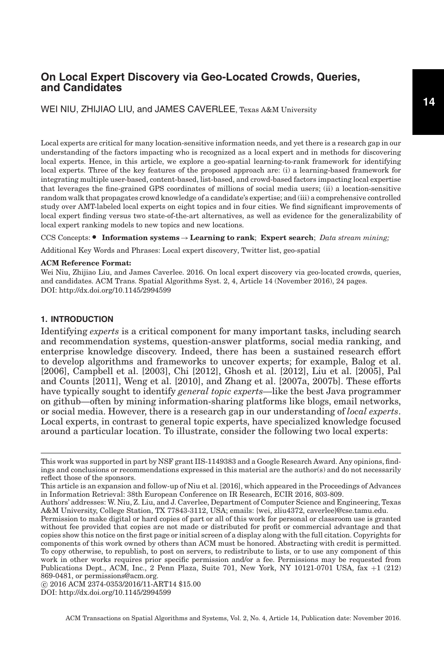WEI NIU, ZHIJIAO LIU, and JAMES CAVERLEE, Texas A&M University

Local experts are critical for many location-sensitive information needs, and yet there is a research gap in our understanding of the factors impacting who is recognized as a local expert and in methods for discovering local experts. Hence, in this article, we explore a geo-spatial learning-to-rank framework for identifying local experts. Three of the key features of the proposed approach are: (i) a learning-based framework for integrating multiple user-based, content-based, list-based, and crowd-based factors impacting local expertise that leverages the fine-grained GPS coordinates of millions of social media users; (ii) a location-sensitive random walk that propagates crowd knowledge of a candidate's expertise; and (iii) a comprehensive controlled study over AMT-labeled local experts on eight topics and in four cities. We find significant improvements of local expert finding versus two state-of-the-art alternatives, as well as evidence for the generalizability of local expert ranking models to new topics and new locations.

CCS Concepts: ● Information systems → Learning to rank; Expert search; *Data stream mining*;

Additional Key Words and Phrases: Local expert discovery, Twitter list, geo-spatial

#### **ACM Reference Format:**

Wei Niu, Zhijiao Liu, and James Caverlee. 2016. On local expert discovery via geo-located crowds, queries, and candidates. ACM Trans. Spatial Algorithms Syst. 2, 4, Article 14 (November 2016), 24 pages. DOI:<http://dx.doi.org/10.1145/2994599>

## **1. INTRODUCTION**

Identifying *experts* is a critical component for many important tasks, including search and recommendation systems, question-answer platforms, social media ranking, and enterprise knowledge discovery. Indeed, there has been a sustained research effort to develop algorithms and frameworks to uncover experts; for example, Balog et al. [\[2006\]](#page-21-0), Campbell et al. [\[2003\]](#page-22-0), Chi [\[2012\]](#page-22-1), Ghosh et al. [\[2012\]](#page-22-2), Liu et al. [\[2005\]](#page-22-3), Pal and Counts [\[2011\]](#page-23-0), Weng et al. [\[2010\]](#page-23-1), and Zhang et al. [\[2007a,](#page-23-2) [2007b\]](#page-23-3). These efforts have typically sought to identify *general topic experts*—like the best Java programmer on github—often by mining information-sharing platforms like blogs, email networks, or social media. However, there is a research gap in our understanding of *local experts*. Local experts, in contrast to general topic experts, have specialized knowledge focused around a particular location. To illustrate, consider the following two local experts:

-c 2016 ACM 2374-0353/2016/11-ART14 \$15.00

DOI:<http://dx.doi.org/10.1145/2994599>

This work was supported in part by NSF grant IIS-1149383 and a Google Research Award. Any opinions, findings and conclusions or recommendations expressed in this material are the author(s) and do not necessarily reflect those of the sponsors.

This article is an expansion and follow-up of Niu et al. [\[2016\]](#page-23-4), which appeared in the Proceedings of Advances in Information Retrieval: 38th European Conference on IR Research, ECIR 2016, 803-809.

Authors' addresses: W. Niu, Z. Liu, and J. Caverlee, Department of Computer Science and Engineering, Texas A&M University, College Station, TX 77843-3112, USA; emails: {wei, zliu4372, caverlee}@cse.tamu.edu.

Permission to make digital or hard copies of part or all of this work for personal or classroom use is granted without fee provided that copies are not made or distributed for profit or commercial advantage and that copies show this notice on the first page or initial screen of a display along with the full citation. Copyrights for components of this work owned by others than ACM must be honored. Abstracting with credit is permitted. To copy otherwise, to republish, to post on servers, to redistribute to lists, or to use any component of this work in other works requires prior specific permission and/or a fee. Permissions may be requested from Publications Dept., ACM, Inc., 2 Penn Plaza, Suite 701, New York, NY 10121-0701 USA, fax +1 (212) 869-0481, or permissions@acm.org.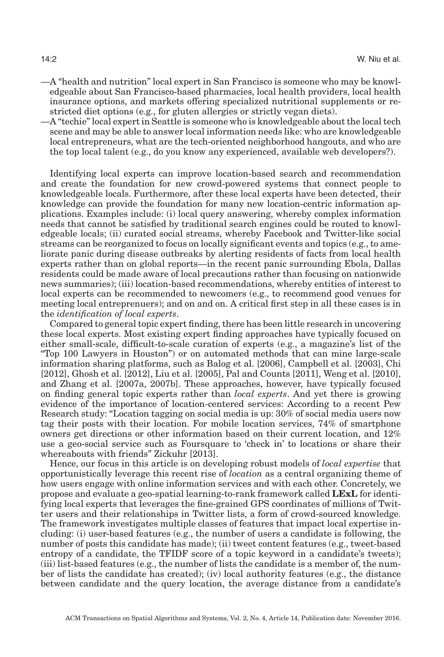- —A "health and nutrition" local expert in San Francisco is someone who may be knowledgeable about San Francisco-based pharmacies, local health providers, local health insurance options, and markets offering specialized nutritional supplements or restricted diet options (e.g., for gluten allergies or strictly vegan diets).
- —A "techie" local expert in Seattle is someone who is knowledgeable about the local tech scene and may be able to answer local information needs like: who are knowledgeable local entrepreneurs, what are the tech-oriented neighborhood hangouts, and who are the top local talent (e.g., do you know any experienced, available web developers?).

Identifying local experts can improve location-based search and recommendation and create the foundation for new crowd-powered systems that connect people to knowledgeable locals. Furthermore, after these local experts have been detected, their knowledge can provide the foundation for many new location-centric information applications. Examples include: (i) local query answering, whereby complex information needs that cannot be satisfied by traditional search engines could be routed to knowledgeable locals; (ii) curated social streams, whereby Facebook and Twitter-like social streams can be reorganized to focus on locally significant events and topics (e.g., to ameliorate panic during disease outbreaks by alerting residents of facts from local health experts rather than on global reports—in the recent panic surrounding Ebola, Dallas residents could be made aware of local precautions rather than focusing on nationwide news summaries); (iii) location-based recommendations, whereby entities of interest to local experts can be recommended to newcomers (e.g., to recommend good venues for meeting local entreprenuers); and on and on. A critical first step in all these cases is in the *identification of local experts*.

Compared to general topic expert finding, there has been little research in uncovering these local experts. Most existing expert finding approaches have typically focused on either small-scale, difficult-to-scale curation of experts (e.g., a magazine's list of the "Top 100 Lawyers in Houston") or on automated methods that can mine large-scale information sharing platforms, such as Balog et al. [\[2006\]](#page-21-0), Campbell et al. [\[2003\]](#page-22-0), Chi [\[2012\]](#page-22-1), Ghosh et al. [\[2012\]](#page-22-2), Liu et al. [\[2005\]](#page-22-3), Pal and Counts [\[2011\]](#page-23-0), Weng et al. [\[2010\]](#page-23-1), and Zhang et al. [\[2007a,](#page-23-2) [2007b\]](#page-23-3). These approaches, however, have typically focused on finding general topic experts rather than *local experts*. And yet there is growing evidence of the importance of location-centered services: According to a recent Pew Research study: "Location tagging on social media is up: 30% of social media users now tag their posts with their location. For mobile location services, 74% of smartphone owners get directions or other information based on their current location, and 12% use a geo-social service such as Foursquare to 'check in' to locations or share their whereabouts with friends" Zickuhr [\[2013\]](#page-23-5).

Hence, our focus in this article is on developing robust models of *local expertise* that opportunistically leverage this recent rise of *location* as a central organizing theme of how users engage with online information services and with each other. Concretely, we propose and evaluate a geo-spatial learning-to-rank framework called **LExL** for identifying local experts that leverages the fine-grained GPS coordinates of millions of Twitter users and their relationships in Twitter lists, a form of crowd-sourced knowledge. The framework investigates multiple classes of features that impact local expertise including: (i) user-based features (e.g., the number of users a candidate is following, the number of posts this candidate has made); (ii) tweet content features (e.g., tweet-based entropy of a candidate, the TFIDF score of a topic keyword in a candidate's tweets); (iii) list-based features (e.g., the number of lists the candidate is a member of, the number of lists the candidate has created); (iv) local authority features (e.g., the distance between candidate and the query location, the average distance from a candidate's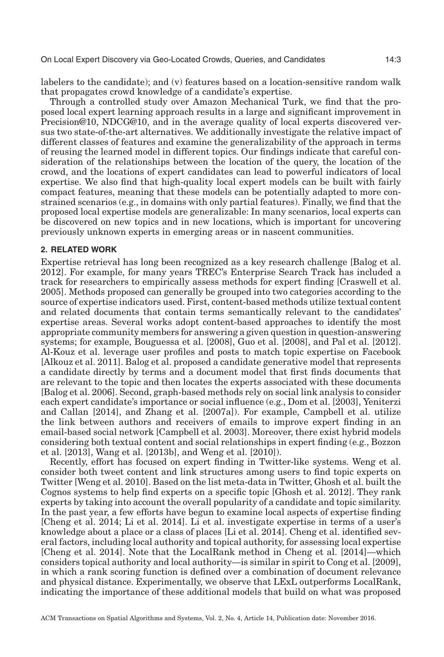labelers to the candidate); and (v) features based on a location-sensitive random walk that propagates crowd knowledge of a candidate's expertise.

Through a controlled study over Amazon Mechanical Turk, we find that the proposed local expert learning approach results in a large and significant improvement in Precision@10, NDCG@10, and in the average quality of local experts discovered versus two state-of-the-art alternatives. We additionally investigate the relative impact of different classes of features and examine the generalizability of the approach in terms of reusing the learned model in different topics. Our findings indicate that careful consideration of the relationships between the location of the query, the location of the crowd, and the locations of expert candidates can lead to powerful indicators of local expertise. We also find that high-quality local expert models can be built with fairly compact features, meaning that these models can be potentially adapted to more constrained scenarios (e.g., in domains with only partial features). Finally, we find that the proposed local expertise models are generalizable: In many scenarios, local experts can be discovered on new topics and in new locations, which is important for uncovering previously unknown experts in emerging areas or in nascent communities.

#### **2. RELATED WORK**

Expertise retrieval has long been recognized as a key research challenge [Balog et al. [2012\]](#page-21-1). For example, for many years TREC's Enterprise Search Track has included a track for researchers to empirically assess methods for expert finding [Craswell et al. [2005\]](#page-22-4). Methods proposed can generally be grouped into two categories according to the source of expertise indicators used. First, content-based methods utilize textual content and related documents that contain terms semantically relevant to the candidates' expertise areas. Several works adopt content-based approaches to identify the most appropriate community members for answering a given question in question-answering systems; for example, Bouguessa et al. [\[2008\]](#page-21-2), Guo et al. [\[2008\]](#page-22-5), and Pal et al. [\[2012\]](#page-23-6). Al-Kouz et al. leverage user profiles and posts to match topic expertise on Facebook [Alkouz et al. [2011\]](#page-21-3). Balog et al. proposed a candidate generative model that represents a candidate directly by terms and a document model that first finds documents that are relevant to the topic and then locates the experts associated with these documents [Balog et al. [2006\]](#page-21-0). Second, graph-based methods rely on social link analysis to consider each expert candidate's importance or social influence (e.g., Dom et al. [\[2003\]](#page-22-6), Yeniterzi and Callan [\[2014\]](#page-23-7), and Zhang et al. [\[2007a\]](#page-23-2)). For example, Campbell et al. utilize the link between authors and receivers of emails to improve expert finding in an email-based social network [Campbell et al. [2003\]](#page-22-0). Moreover, there exist hybrid models considering both textual content and social relationships in expert finding (e.g., Bozzon et al. [\[2013\]](#page-22-7), Wang et al. [\[2013b\]](#page-23-8), and Weng et al. [\[2010\]](#page-23-1)).

Recently, effort has focused on expert finding in Twitter-like systems. Weng et al. consider both tweet content and link structures among users to find topic experts on Twitter [Weng et al. [2010\]](#page-23-1). Based on the list meta-data in Twitter, Ghosh et al. built the Cognos systems to help find experts on a specific topic [Ghosh et al. [2012\]](#page-22-2). They rank experts by taking into account the overall popularity of a candidate and topic similarity. In the past year, a few efforts have begun to examine local aspects of expertise finding [Cheng et al. [2014;](#page-22-8) Li et al. [2014\]](#page-22-9). Li et al. investigate expertise in terms of a user's knowledge about a place or a class of places [Li et al. [2014\]](#page-22-9). Cheng et al. identified several factors, including local authority and topical authority, for assessing local expertise [Cheng et al. [2014\]](#page-22-8). Note that the LocalRank method in Cheng et al. [\[2014\]](#page-22-8)—which considers topical authority and local authority—is similar in spirit to Cong et al. [\[2009\]](#page-22-10), in which a rank scoring function is defined over a combination of document relevance and physical distance. Experimentally, we observe that LExL outperforms LocalRank, indicating the importance of these additional models that build on what was proposed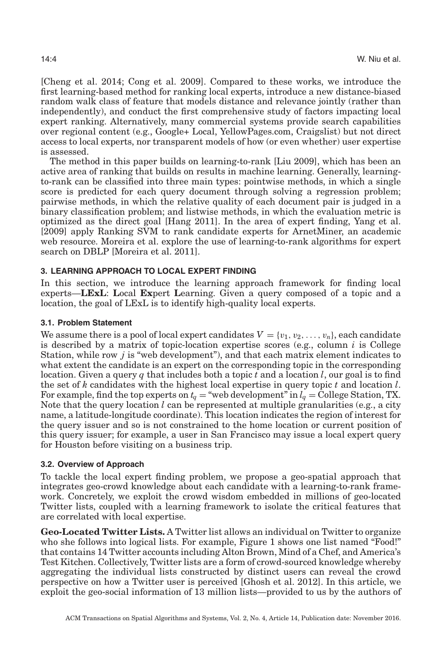[Cheng et al. [2014;](#page-22-8) Cong et al. [2009\]](#page-22-10). Compared to these works, we introduce the first learning-based method for ranking local experts, introduce a new distance-biased random walk class of feature that models distance and relevance jointly (rather than independently), and conduct the first comprehensive study of factors impacting local expert ranking. Alternatively, many commercial systems provide search capabilities over regional content (e.g., Google+ Local, YellowPages.com, Craigslist) but not direct access to local experts, nor transparent models of how (or even whether) user expertise is assessed.

The method in this paper builds on learning-to-rank [Liu [2009\]](#page-22-11), which has been an active area of ranking that builds on results in machine learning. Generally, learningto-rank can be classified into three main types: pointwise methods, in which a single score is predicted for each query document through solving a regression problem; pairwise methods, in which the relative quality of each document pair is judged in a binary classification problem; and listwise methods, in which the evaluation metric is optimized as the direct goal [Hang [2011\]](#page-22-12). In the area of expert finding, Yang et al. [\[2009\]](#page-23-9) apply Ranking SVM to rank candidate experts for ArnetMiner, an academic web resource. Moreira et al. explore the use of learning-to-rank algorithms for expert search on DBLP [Moreira et al. [2011\]](#page-23-10).

## **3. LEARNING APPROACH TO LOCAL EXPERT FINDING**

In this section, we introduce the learning approach framework for finding local experts—**LExL**: **L**ocal **Ex**pert **L**earning. Given a query composed of a topic and a location, the goal of LExL is to identify high-quality local experts.

#### **3.1. Problem Statement**

We assume there is a pool of local expert candidates  $V = \{v_1, v_2, \ldots, v_n\}$ , each candidate is described by a matrix of topic-location expertise scores (e.g., column *i* is College Station, while row *j* is "web development"), and that each matrix element indicates to what extent the candidate is an expert on the corresponding topic in the corresponding location. Given a query *q* that includes both a topic *t* and a location *l*, our goal is to find the set of *k* candidates with the highest local expertise in query topic *t* and location *l*. For example, find the top experts on  $t_q$  = "web development" in  $l_q$  = College Station, TX. Note that the query location *l* can be represented at multiple granularities (e.g., a city name, a latitude-longitude coordinate). This location indicates the region of interest for the query issuer and so is not constrained to the home location or current position of this query issuer; for example, a user in San Francisco may issue a local expert query for Houston before visiting on a business trip.

#### **3.2. Overview of Approach**

<span id="page-3-0"></span>To tackle the local expert finding problem, we propose a geo-spatial approach that integrates geo-crowd knowledge about each candidate with a learning-to-rank framework. Concretely, we exploit the crowd wisdom embedded in millions of geo-located Twitter lists, coupled with a learning framework to isolate the critical features that are correlated with local expertise.

**Geo-Located Twitter Lists.** A Twitter list allows an individual on Twitter to organize who she follows into logical lists. For example, Figure [1](#page-4-0) shows one list named "Food!" that contains 14 Twitter accounts including Alton Brown, Mind of a Chef, and America's Test Kitchen. Collectively, Twitter lists are a form of crowd-sourced knowledge whereby aggregating the individual lists constructed by distinct users can reveal the crowd perspective on how a Twitter user is perceived [Ghosh et al. [2012\]](#page-22-2). In this article, we exploit the geo-social information of 13 million lists—provided to us by the authors of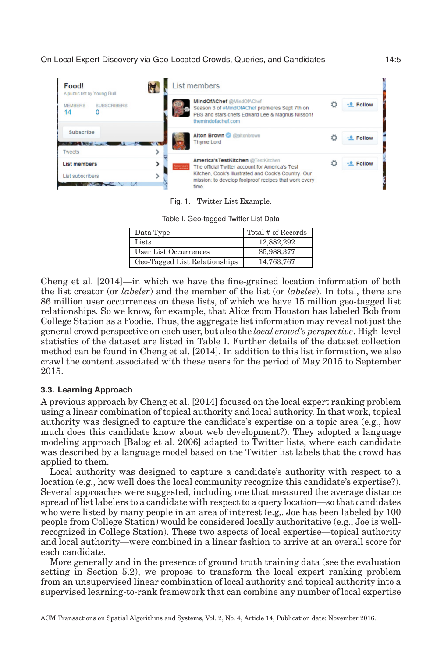<span id="page-4-0"></span>

| Food!<br>A public list by Young Bull       | ķ.        | List members                                                                                                                                                                                          |                 |
|--------------------------------------------|-----------|-------------------------------------------------------------------------------------------------------------------------------------------------------------------------------------------------------|-----------------|
| <b>SUBSCRIBERS</b><br><b>MEMBERS</b><br>14 |           | MindOfAChef @MindOfAChef<br>Season 3 of #MindOfAChef premieres Sept 7th on<br>PBS and stars chefs Edward Lee & Magnus Nilsson!<br>themindofachef.com                                                  | <b>E</b> Follow |
| Subscribe<br><b>Tweets</b>                 |           | <b>Alton Brown</b> @altonbrown<br><b>Thyme Lord</b>                                                                                                                                                   | <b>.</b> Follow |
| <b>List members</b><br>List subscribers    | America's | America's TestKitchen @TestKitchen<br>The official Twitter account for America's Test<br>Kitchen, Cook's Illustrated and Cook's Country. Our<br>mission: to develop foolproof recipes that work every | <b>E</b> Follow |

Fig. 1. Twitter List Example.

Table I. Geo-tagged Twitter List Data

| Data Type                     | Total # of Records |
|-------------------------------|--------------------|
| Lists                         | 12,882,292         |
| User List Occurrences         | 85,988,377         |
| Geo-Tagged List Relationships | 14,763,767         |

<span id="page-4-1"></span>Cheng et al. [\[2014\]](#page-22-8)—in which we have the fine-grained location information of both the list creator (or *labeler*) and the member of the list (or *labelee*). In total, there are 86 million user occurrences on these lists, of which we have 15 million geo-tagged list relationships. So we know, for example, that Alice from Houston has labeled Bob from College Station as a Foodie. Thus, the aggregate list information may reveal not just the general crowd perspective on each user, but also the *local crowd's perspective*. High-level statistics of the dataset are listed in Table [I.](#page-4-1) Further details of the dataset collection method can be found in Cheng et al. [\[2014\]](#page-22-8). In addition to this list information, we also crawl the content associated with these users for the period of May 2015 to September 2015.

## **3.3. Learning Approach**

A previous approach by Cheng et al. [\[2014\]](#page-22-8) focused on the local expert ranking problem using a linear combination of topical authority and local authority. In that work, topical authority was designed to capture the candidate's expertise on a topic area (e.g., how much does this candidate know about web development?). They adopted a language modeling approach [Balog et al. [2006\]](#page-21-0) adapted to Twitter lists, where each candidate was described by a language model based on the Twitter list labels that the crowd has applied to them.

Local authority was designed to capture a candidate's authority with respect to a location (e.g., how well does the local community recognize this candidate's expertise?). Several approaches were suggested, including one that measured the average distance spread of list labelers to a candidate with respect to a query location—so that candidates who were listed by many people in an area of interest (e.g., Joe has been labeled by 100 people from College Station) would be considered locally authoritative (e.g., Joe is wellrecognized in College Station). These two aspects of local expertise—topical authority and local authority—were combined in a linear fashion to arrive at an overall score for each candidate.

More generally and in the presence of ground truth training data (see the evaluation setting in Section [5.2\)](#page-12-0), we propose to transform the local expert ranking problem from an unsupervised linear combination of local authority and topical authority into a supervised learning-to-rank framework that can combine any number of local expertise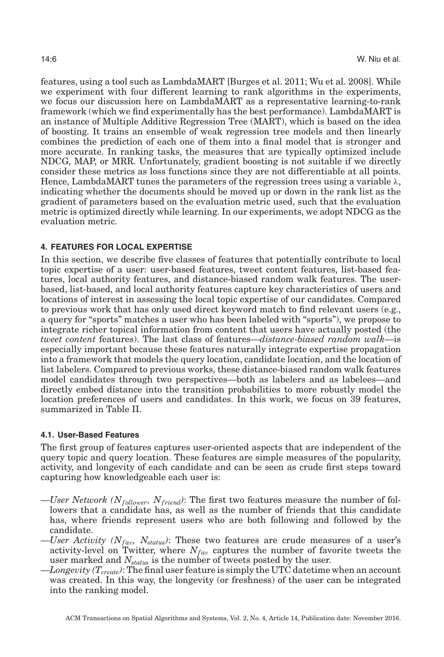features, using a tool such as LambdaMART [Burges et al. [2011;](#page-22-13) Wu et al. [2008\]](#page-23-11). While we experiment with four different learning to rank algorithms in the experiments, we focus our discussion here on LambdaMART as a representative learning-to-rank framework (which we find experimentally has the best performance). LambdaMART is an instance of Multiple Additive Regression Tree (MART), which is based on the idea of boosting. It trains an ensemble of weak regression tree models and then linearly combines the prediction of each one of them into a final model that is stronger and more accurate. In ranking tasks, the measures that are typically optimized include NDCG, MAP, or MRR. Unfortunately, gradient boosting is not suitable if we directly consider these metrics as loss functions since they are not differentiable at all points. Hence, LambdaMART tunes the parameters of the regression trees using a variable  $\lambda$ , indicating whether the documents should be moved up or down in the rank list as the gradient of parameters based on the evaluation metric used, such that the evaluation metric is optimized directly while learning. In our experiments, we adopt NDCG as the evaluation metric.

## **4. FEATURES FOR LOCAL EXPERTISE**

In this section, we describe five classes of features that potentially contribute to local topic expertise of a user: user-based features, tweet content features, list-based features, local authority features, and distance-biased random walk features. The userbased, list-based, and local authority features capture key characteristics of users and locations of interest in assessing the local topic expertise of our candidates. Compared to previous work that has only used direct keyword match to find relevant users (e.g., a query for "sports" matches a user who has been labeled with "sports"), we propose to integrate richer topical information from content that users have actually posted (the *tweet content* features). The last class of features—*distance-biased random walk*—is especially important because these features naturally integrate expertise propagation into a framework that models the query location, candidate location, and the location of list labelers. Compared to previous works, these distance-biased random walk features model candidates through two perspectives—both as labelers and as labelees—and directly embed distance into the transition probabilities to more robustly model the location preferences of users and candidates. In this work, we focus on 39 features, summarized in Table [II.](#page-6-0)

## **4.1. User-Based Features**

The first group of features captures user-oriented aspects that are independent of the query topic and query location. These features are simple measures of the popularity, activity, and longevity of each candidate and can be seen as crude first steps toward capturing how knowledgeable each user is:

- —*User Network (N<sub>follower</sub>*, N<sub>friend</sub>): The first two features measure the number of followers that a candidate has, as well as the number of friends that this candidate has, where friends represent users who are both following and followed by the candidate.
- —*User Activity* ( $N_{\text{fav}}$ ,  $N_{\text{status}}$ ): These two features are crude measures of a user's activity-level on Twitter, where  $N_{\text{fav}}$  captures the number of favorite tweets the user marked and *Nstatus* is the number of tweets posted by the user.
- $-$ Longevity ( $T_{create}$ ): The final user feature is simply the UTC datetime when an account was created. In this way, the longevity (or freshness) of the user can be integrated into the ranking model.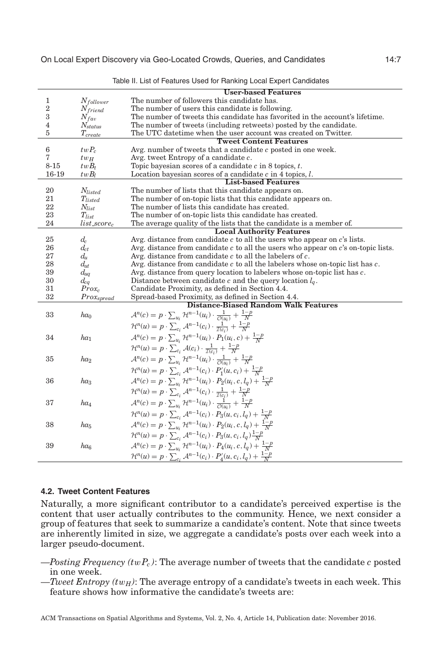<span id="page-6-0"></span>

|                |                  | <b>User-based Features</b>                                                                                        |
|----------------|------------------|-------------------------------------------------------------------------------------------------------------------|
| 1              | $N_{follower}$   | The number of followers this candidate has.                                                                       |
| $\overline{2}$ | $N_{friend}$     | The number of users this candidate is following.                                                                  |
| 3              | $N_{\text{fav}}$ | The number of tweets this candidate has favorited in the account's lifetime.                                      |
| 4              | $N_{status}$     | The number of tweets (including retweets) posted by the candidate.                                                |
| 5              | $T_{create}$     | The UTC date time when the user account was created on Twitter.                                                   |
|                |                  | <b>Tweet Content Features</b>                                                                                     |
| 6              | $twP_c$          | Avg. number of tweets that a candidate $c$ posted in one week.                                                    |
| 7              | $tw_H$           | Avg. tweet Entropy of a candidate $c$ .                                                                           |
| $8 - 15$       | $twB_t$          | Topic bayesian scores of a candidate $c$ in 8 topics, $t$ .                                                       |
| 16-19          | $twB_l$          | Location bayesian scores of a candidate $c$ in 4 topics, $l$ .                                                    |
|                |                  | List-based Features                                                                                               |
| 20             | $N_{listed}$     | The number of lists that this candidate appears on.                                                               |
| 21             | $T_{listed}$     | The number of on-topic lists that this candidate appears on.                                                      |
| 22             | $N_{list}$       | The number of lists this candidate has created.                                                                   |
| 23             | $T_{list}$       | The number of on-topic lists this candidate has created.                                                          |
| 24             | $list\_score_c$  | The average quality of the lists that the candidate is a member of.                                               |
|                |                  | <b>Local Authority Features</b>                                                                                   |
| 25             | $d_c$            | Avg. distance from candidate $c$ to all the users who appear on $c$ 's lists.                                     |
| 26             | $d_{ct}$         | Avg. distance from candidate $c$ to all the users who appear on $c$ 's on-topic lists.                            |
| 27             | $d_u$            | Avg. distance from candidate $c$ to all the labelers of $c$ .                                                     |
| 28             | $d_{ut}$         | Avg. distance from candidate $c$ to all the labelers whose on-topic list has $c$ .                                |
| 39             | $d_{uq}$         | Avg. distance from query location to labelers whose on-topic list has c.                                          |
| 30             | $d_{cq}$         | Distance between candidate $c$ and the query location $l_q$ .                                                     |
| 31             | $Prox_c$         | Candidate Proximity, as defined in Section 4.4.                                                                   |
| 32             | $Prox_{spread}$  | Spread-based Proximity, as defined in Section 4.4.                                                                |
|                |                  | <b>Distance-Biased Random Walk Features</b>                                                                       |
| 33             | $ha_0$           | $\mathcal{A}^n(c) = p \cdot \sum_{u_i} \mathcal{H}^{n-1}(u_i) \cdot \frac{1}{\mathcal{O}(u_i)} + \frac{1-p}{N}$   |
|                |                  | $\mathcal{H}^{n}(u) = p \cdot \sum_{c_i} \mathcal{A}^{n-1}(c_i) \cdot \frac{1}{\mathcal{I}(c_i)} + \frac{1-p}{N}$ |
|                |                  |                                                                                                                   |
| 34             | $ha_1$           | $\mathcal{A}^n(c) = p \cdot \sum_{u_i} \mathcal{H}^{n-1}(u_i) \cdot P_1(u_i, c) + \frac{1-p}{N}$                  |
|                |                  | $\mathcal{H}^n(u) = p \cdot \sum_{c_i} \mathcal{A}(c_i) \cdot \frac{1}{\mathcal{I}(c_i)} + \frac{1-p}{N}$         |
| 35             | ha <sub>2</sub>  | $\mathcal{A}^n(c) = p \cdot \sum_{u_i} \mathcal{H}^{n-1}(u_i) \cdot \frac{1}{\mathcal{O}(u_i)} + \frac{1-p}{N}$   |
|                |                  | $\mathcal{H}^{n}(u) = p \cdot \sum_{c_i} \mathcal{A}^{n-1}(c_i) \cdot P'_1(u, c_i) + \frac{1-p}{N}$               |
| 36             | $ha_3$           | $\mathcal{A}^{n}(c) = p \cdot \sum_{u_i} \mathcal{H}^{n-1}(u_i) \cdot P_2(u_i, c, l_q) + \frac{1-p}{N}$           |
|                |                  | $\mathcal{H}^{n}(u) = p \cdot \sum_{c_i} \mathcal{A}^{n-1}(c_i) \cdot \frac{1}{\tau(c_i)} + \frac{1-p}{N}$        |
| 37             | ha <sub>4</sub>  | $\mathcal{A}^n(c) = p \cdot \sum_{u_i} \mathcal{H}^{n-1}(u_i) \cdot \frac{1}{\mathcal{O}(u_i)} + \frac{1-p}{N}$   |
|                |                  | $\mathcal{H}^{n}(u) = p \cdot \sum_{c_i} \mathcal{A}^{n-1}(c_i) \cdot P_3(u, c_i, l_q) + \frac{1-p}{N}$           |
| 38             | $ha_5$           | $A^{n}(c) = p \cdot \sum_{u_i} \mathcal{H}^{n-1}(u_i) \cdot P_2(u_i, c, l_q) + \frac{1-p}{N}$                     |
|                |                  | $\mathcal{H}^n(u) = p \cdot \sum_{c_i} \mathcal{A}^{n-1}(c_i) \cdot P_3(u, c_i, l_q) \frac{1-p}{N}$               |
| 39             | $ha_6$           | $\mathcal{A}^n(c) = p \cdot \sum_{u_i} \mathcal{H}^{n-1}(u_i) \cdot P_4(u_i, c, l_q) + \frac{1-p}{N}$             |
|                |                  | $\mathcal{H}^{n}(u) = p \cdot \sum_{c_i} \mathcal{A}^{n-1}(c_i) \cdot P'_{4}(u, c_i, l_q) + \frac{1-p}{N}$        |
|                |                  |                                                                                                                   |

Table II. List of Features Used for Ranking Local Expert Candidates

## **4.2. Tweet Content Features**

Naturally, a more significant contributor to a candidate's perceived expertise is the content that user actually contributes to the community. Hence, we next consider a group of features that seek to summarize a candidate's content. Note that since tweets are inherently limited in size, we aggregate a candidate's posts over each week into a larger pseudo-document.

- —*Posting Frequency (t*w*Pc )*: The average number of tweets that the candidate *c* posted in one week.
- —*Tweet Entropy (tw<sub>H</sub>)*: The average entropy of a candidate's tweets in each week. This feature shows how informative the candidate's tweets are: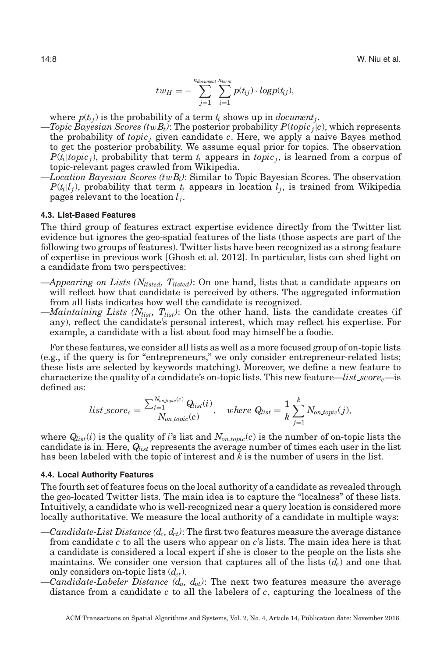$$
tw_H = -\sum_{j=1}^{n_{document}} \sum_{i=1}^{n_{term}} p(t_{ij}) \cdot logp(t_{ij}),
$$

where  $p(t_{ij})$  is the probability of a term  $t_i$  shows up in *document<sub>i</sub>*.

- $-\text{Topic Bayesian Scores } (twB_t):$  The posterior probability  $P(topic_j|c)$ , which represents the probability of *topic <sup>j</sup>* given candidate *c*. Here, we apply a naive Bayes method to get the posterior probability. We assume equal prior for topics. The observation  $P(t_i | topic_i)$ , probability that term  $t_i$  appears in *topic*<sub>i</sub>, is learned from a corpus of topic-relevant pages crawled from Wikipedia.
- —*Location Bayesian Scores (t*w*Bl)*: Similar to Topic Bayesian Scores. The observation  $P(t_i|l_i)$ , probability that term  $t_i$  appears in location  $l_i$ , is trained from Wikipedia pages relevant to the location *lj*.

#### **4.3. List-Based Features**

The third group of features extract expertise evidence directly from the Twitter list evidence but ignores the geo-spatial features of the lists (those aspects are part of the following two groups of features). Twitter lists have been recognized as a strong feature of expertise in previous work [Ghosh et al. [2012\]](#page-22-2). In particular, lists can shed light on a candidate from two perspectives:

- —*Appearing on Lists (Nlisted, Tlisted)*: On one hand, lists that a candidate appears on will reflect how that candidate is perceived by others. The aggregated information from all lists indicates how well the candidate is recognized.
- —*Maintaining Lists (Nlist, Tlist)*: On the other hand, lists the candidate creates (if any), reflect the candidate's personal interest, which may reflect his expertise. For example, a candidate with a list about food may himself be a foodie.

For these features, we consider all lists as well as a more focused group of on-topic lists (e.g., if the query is for "entrepreneurs," we only consider entrepreneur-related lists; these lists are selected by keywords matching). Moreover, we define a new feature to characterize the quality of a candidate's on-topic lists. This new feature—*list scorec*—is defined as:

<span id="page-7-0"></span>
$$
list\_score_c = \frac{\sum_{i=1}^{N_{on\_topic}(c)} Q_{list}(i)}{N_{on\_topic}(c)}, \quad where \ Q_{list} = \frac{1}{k} \sum_{j=1}^{k} N_{on\_topic}(j),
$$

where  $Q_{list}(i)$  is the quality of *i*'s list and  $N_{on\text{topic}}(c)$  is the number of on-topic lists the candidate is in. Here, *Qlist* represents the average number of times each user in the list has been labeled with the topic of interest and *k* is the number of users in the list.

#### **4.4. Local Authority Features**

The fourth set of features focus on the local authority of a candidate as revealed through the geo-located Twitter lists. The main idea is to capture the "localness" of these lists. Intuitively, a candidate who is well-recognized near a query location is considered more locally authoritative. We measure the local authority of a candidate in multiple ways:

- $-$ Candidate-List Distance  $(d_c, d_{ct})$ : The first two features measure the average distance from candidate *c* to all the users who appear on *c*'s lists. The main idea here is that a candidate is considered a local expert if she is closer to the people on the lists she maintains. We consider one version that captures all of the lists (*dc*) and one that only considers on-topic lists  $(d_{ct})$ .
- $\Box$ *Candidate-Labeler Distance* ( $d_u$ ,  $d_{ut}$ ): The next two features measure the average distance from a candidate *c* to all the labelers of *c*, capturing the localness of the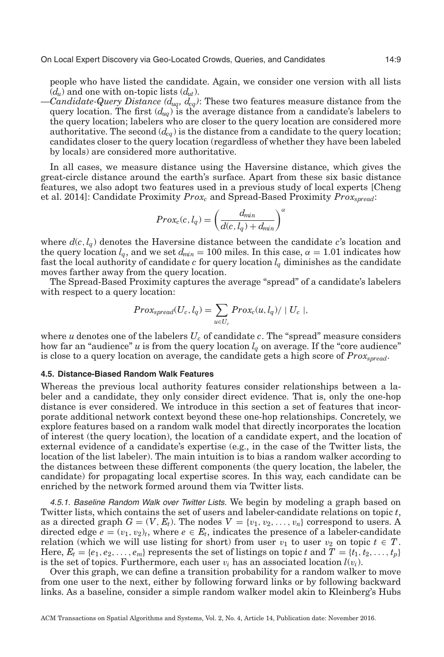people who have listed the candidate. Again, we consider one version with all lists  $(d_u)$  and one with on-topic lists  $(d_u)$ .

—*Candidate-Query Distance (duq, dcq)*: These two features measure distance from the query location. The first  $(d_{uq})$  is the average distance from a candidate's labelers to the query location; labelers who are closer to the query location are considered more authoritative. The second  $(d_{eq})$  is the distance from a candidate to the query location; candidates closer to the query location (regardless of whether they have been labeled by locals) are considered more authoritative.

In all cases, we measure distance using the Haversine distance, which gives the great-circle distance around the earth's surface. Apart from these six basic distance features, we also adopt two features used in a previous study of local experts [Cheng et al. [2014\]](#page-22-8): Candidate Proximity *Proxc* and Spread-Based Proximity *Proxspread*:

$$
Prox_c(c, l_q) = \left(\frac{d_{min}}{d(c, l_q) + d_{min}}\right)^{\alpha}
$$

where  $d(c, l_q)$  denotes the Haversine distance between the candidate *c*'s location and the query location  $l_q$ , and we set  $d_{min} = 100$  miles. In this case,  $\alpha = 1.01$  indicates how fast the local authority of candidate  $c$  for query location  $l_q$  diminishes as the candidate moves farther away from the query location.

The Spread-Based Proximity captures the average "spread" of a candidate's labelers with respect to a query location:

$$
Prox_{spread}(U_c, l_q) = \sum_{u \in U_c} Prox_c(u, l_q) / |U_c|,
$$

where  $u$  denotes one of the labelers  $U_c$  of candidate  $c$ . The "spread" measure considers how far an "audience"  $u$  is from the query location  $l_q$  on average. If the "core audience" is close to a query location on average, the candidate gets a high score of *Proxspread*.

#### **4.5. Distance-Biased Random Walk Features**

Whereas the previous local authority features consider relationships between a labeler and a candidate, they only consider direct evidence. That is, only the one-hop distance is ever considered. We introduce in this section a set of features that incorporate additional network context beyond these one-hop relationships. Concretely, we explore features based on a random walk model that directly incorporates the location of interest (the query location), the location of a candidate expert, and the location of external evidence of a candidate's expertise (e.g., in the case of the Twitter lists, the location of the list labeler). The main intuition is to bias a random walker according to the distances between these different components (the query location, the labeler, the candidate) for propagating local expertise scores. In this way, each candidate can be enriched by the network formed around them via Twitter lists.

4.5.1. Baseline Random Walk over Twitter Lists. We begin by modeling a graph based on Twitter lists, which contains the set of users and labeler-candidate relations on topic *t*, as a directed graph  $G = (V, E_t)$ . The nodes  $V = \{v_1, v_2, \ldots, v_n\}$  correspond to users. A directed edge  $e = (v_1, v_2)_t$ , where  $e \in E_t$ , indicates the presence of a labeler-candidate relation (which we will use listing for short) from user  $v_1$  to user  $v_2$  on topic  $t \in T$ . Here,  $E_t = \{e_1, e_2, \ldots, e_m\}$  represents the set of listings on topic *t* and  $T = \{t_1, t_2, \ldots, t_p\}$ is the set of topics. Furthermore, each user  $v_i$  has an associated location  $l(v_i)$ .

Over this graph, we can define a transition probability for a random walker to move from one user to the next, either by following forward links or by following backward links. As a baseline, consider a simple random walker model akin to Kleinberg's Hubs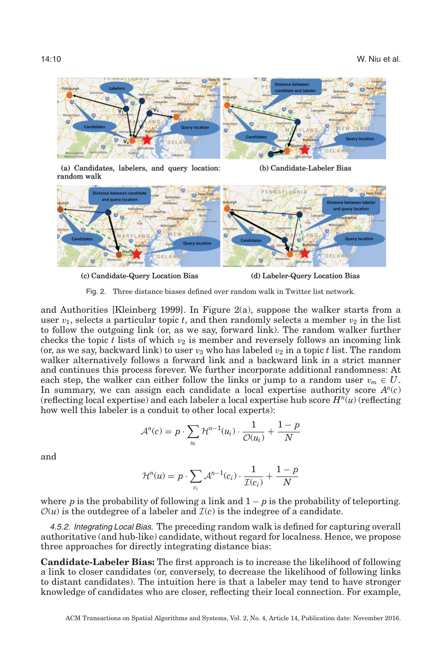<span id="page-9-0"></span>

(a) Candidates, labelers, and query location: random walk

(b) Candidate-Labeler Bias



(c) Candidate-Query Location Bias

(d) Labeler-Query Location Bias

Fig. 2. Three distance biases defined over random walk in Twitter list network.

and Authorities [Kleinberg [1999\]](#page-22-14). In Figure [2\(](#page-9-0)a), suppose the walker starts from a user  $v_1$ , selects a particular topic  $t$ , and then randomly selects a member  $v_2$  in the list to follow the outgoing link (or, as we say, forward link). The random walker further checks the topic  $t$  lists of which  $v_2$  is member and reversely follows an incoming link (or, as we say, backward link) to user  $v_3$  who has labeled  $v_2$  in a topic t list. The random walker alternatively follows a forward link and a backward link in a strict manner and continues this process forever. We further incorporate additional randomness: At each step, the walker can either follow the links or jump to a random user  $v_m \in U$ . In summary, we can assign each candidate a local expertise authority score  $A<sup>n</sup>(c)$ (reflecting local expertise) and each labeler a local expertise hub score  $H<sup>n</sup>(u)$  (reflecting how well this labeler is a conduit to other local experts):

$$
\mathcal{A}^n(c) = p \cdot \sum_{u_i} \mathcal{H}^{n-1}(u_i) \cdot \frac{1}{\mathcal{O}(u_i)} + \frac{1-p}{N}
$$

and

$$
\mathcal{H}^{n}(u) = p \cdot \sum_{c_i} \mathcal{A}^{n-1}(c_i) \cdot \frac{1}{\mathcal{I}(c_i)} + \frac{1-p}{N}
$$

where *p* is the probability of following a link and  $1 - p$  is the probability of teleporting.  $\mathcal{O}(u)$  is the outdegree of a labeler and  $\mathcal{I}(c)$  is the indegree of a candidate.

4.5.2. Integrating Local Bias. The preceding random walk is defined for capturing overall authoritative (and hub-like) candidate, without regard for localness. Hence, we propose three approaches for directly integrating distance bias:

**Candidate-Labeler Bias:** The first approach is to increase the likelihood of following a link to closer candidates (or, conversely, to decrease the likelihood of following links to distant candidates). The intuition here is that a labeler may tend to have stronger knowledge of candidates who are closer, reflecting their local connection. For example,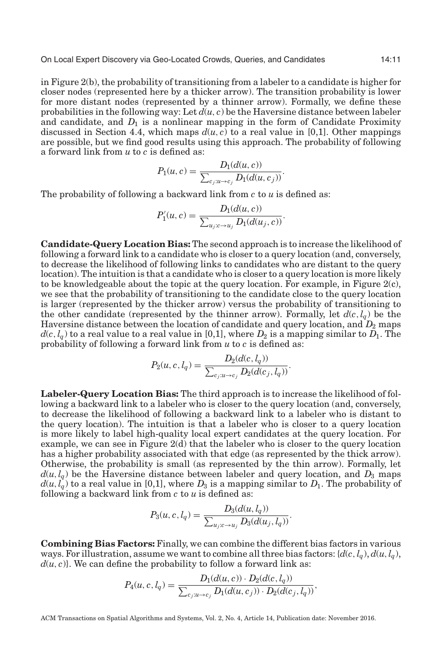in Figure [2\(](#page-9-0)b), the probability of transitioning from a labeler to a candidate is higher for closer nodes (represented here by a thicker arrow). The transition probability is lower for more distant nodes (represented by a thinner arrow). Formally, we define these probabilities in the following way: Let  $d(u, c)$  be the Haversine distance between labeler and candidate, and  $D_1$  is a nonlinear mapping in the form of Candidate Proximity discussed in Section [4.4,](#page-7-0) which maps  $d(u, c)$  to a real value in [0,1]. Other mappings are possible, but we find good results using this approach. The probability of following a forward link from *u* to *c* is defined as:

$$
P_1(u, c) = \frac{D_1(d(u, c))}{\sum_{c_j: u \to c_j} D_1(d(u, c_j))}.
$$

The probability of following a backward link from *c* to *u* is defined as:

$$
P'_1(u,c) = \frac{D_1(d(u,c))}{\sum_{u_j:c \to u_j} D_1(d(u_j,c))}.
$$

**Candidate-Query Location Bias:** The second approach is to increase the likelihood of following a forward link to a candidate who is closer to a query location (and, conversely, to decrease the likelihood of following links to candidates who are distant to the query location). The intuition is that a candidate who is closer to a query location is more likely to be knowledgeable about the topic at the query location. For example, in Figure  $2(c)$ , we see that the probability of transitioning to the candidate close to the query location is larger (represented by the thicker arrow) versus the probability of transitioning to the other candidate (represented by the thinner arrow). Formally, let  $d(c, l_q)$  be the Haversine distance between the location of candidate and query location, and  $D_2$  maps  $d(c, l_q)$  to a real value to a real value in [0,1], where  $D_2$  is a mapping similar to  $D_1$ . The probability of following a forward link from *u* to *c* is defined as:

$$
P_2(u,c,l_q) = \frac{D_2(d(c,l_q))}{\sum_{c_j:u \to c_j} D_2(d(c_j,l_q))}.
$$

**Labeler-Query Location Bias:** The third approach is to increase the likelihood of following a backward link to a labeler who is closer to the query location (and, conversely, to decrease the likelihood of following a backward link to a labeler who is distant to the query location). The intuition is that a labeler who is closer to a query location is more likely to label high-quality local expert candidates at the query location. For example, we can see in Figure [2\(](#page-9-0)d) that the labeler who is closer to the query location has a higher probability associated with that edge (as represented by the thick arrow). Otherwise, the probability is small (as represented by the thin arrow). Formally, let  $d(u, l_q)$  be the Haversine distance between labeler and query location, and  $D_3$  maps  $d(u, l_q)$  to a real value in [0,1], where  $D_3$  is a mapping similar to  $D_1$ . The probability of following a backward link from *c* to *u* is defined as:

$$
P_3(u, c, l_q) = \frac{D_3(d(u, l_q))}{\sum_{u_j: c \to u_j} D_3(d(u_j, l_q))}.
$$

**Combining Bias Factors:** Finally, we can combine the different bias factors in various ways. For illustration, assume we want to combine all three bias factors:  $\{d(c, l_q), d(u, l_q),$  $d(u, c)$ . We can define the probability to follow a forward link as:

$$
P_4(u, c, l_q) = \frac{D_1(d(u, c)) \cdot D_2(d(c, l_q))}{\sum_{c_j: u \to c_j} D_1(d(u, c_j)) \cdot D_2(d(c_j, l_q))},
$$

ACM Transactions on Spatial Algorithms and Systems, Vol. 2, No. 4, Article 14, Publication date: November 2016.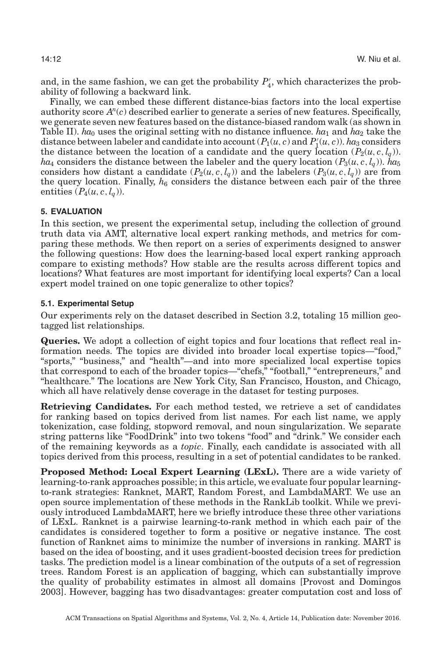and, in the same fashion, we can get the probability  $P'_4$ , which characterizes the probability of following a backward link.

Finally, we can embed these different distance-bias factors into the local expertise authority score  $A<sup>n</sup>(c)$  described earlier to generate a series of new features. Specifically, we generate seven new features based on the distance-biased random walk (as shown in Table [II\)](#page-6-0).  $ha_0$  uses the original setting with no distance influence.  $ha_1$  and  $ha_2$  take the distance between labeler and candidate into account  $(P_1(u, c)$  and  $P'_1(u, c)$ ). *ha*<sub>3</sub> considers the distance between the location of a candidate and the query location  $(P_2(u, c, l_q))$ . *ha*<sub>4</sub> considers the distance between the labeler and the query location  $(P_3(u, c, l_q))$ . *ha*<sub>5</sub> considers how distant a candidate  $(P_2(u, c, l_q))$  and the labelers  $(P_3(u, c, l_q))$  are from the query location. Finally,  $h_6$  considers the distance between each pair of the three entities  $(P_4(u, c, l_q))$ .

## **5. EVALUATION**

In this section, we present the experimental setup, including the collection of ground truth data via AMT, alternative local expert ranking methods, and metrics for comparing these methods. We then report on a series of experiments designed to answer the following questions: How does the learning-based local expert ranking approach compare to existing methods? How stable are the results across different topics and locations? What features are most important for identifying local experts? Can a local expert model trained on one topic generalize to other topics?

## **5.1. Experimental Setup**

Our experiments rely on the dataset described in Section [3.2,](#page-3-0) totaling 15 million geotagged list relationships.

**Queries.** We adopt a collection of eight topics and four locations that reflect real information needs. The topics are divided into broader local expertise topics—"food," "sports," "business," and "health"—and into more specialized local expertise topics that correspond to each of the broader topics—"chefs," "football," "entrepreneurs," and "healthcare." The locations are New York City, San Francisco, Houston, and Chicago, which all have relatively dense coverage in the dataset for testing purposes.

**Retrieving Candidates.** For each method tested, we retrieve a set of candidates for ranking based on topics derived from list names. For each list name, we apply tokenization, case folding, stopword removal, and noun singularization. We separate string patterns like "FoodDrink" into two tokens "food" and "drink." We consider each of the remaining keywords as a *topic*. Finally, each candidate is associated with all topics derived from this process, resulting in a set of potential candidates to be ranked.

**Proposed Method: Local Expert Learning (LExL).** There are a wide variety of learning-to-rank approaches possible; in this article, we evaluate four popular learningto-rank strategies: Ranknet, MART, Random Forest, and LambdaMART. We use an open source implementation of these methods in the RankLib toolkit. While we previously introduced LambdaMART, here we briefly introduce these three other variations of LExL. Ranknet is a pairwise learning-to-rank method in which each pair of the candidates is considered together to form a positive or negative instance. The cost function of Ranknet aims to minimize the number of inversions in ranking. MART is based on the idea of boosting, and it uses gradient-boosted decision trees for prediction tasks. The prediction model is a linear combination of the outputs of a set of regression trees. Random Forest is an application of bagging, which can substantially improve the quality of probability estimates in almost all domains [Provost and Domingos [2003\]](#page-23-12). However, bagging has two disadvantages: greater computation cost and loss of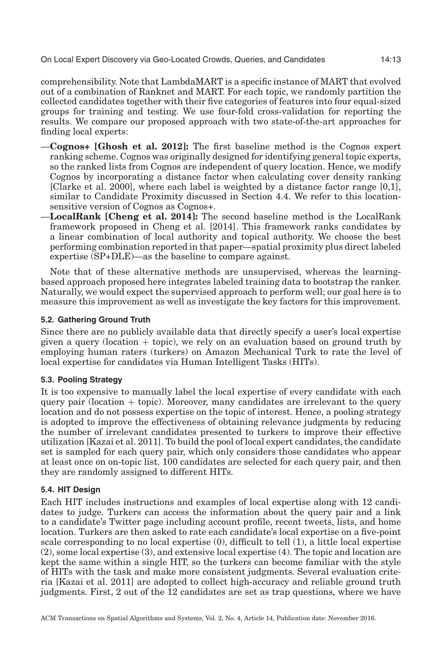comprehensibility. Note that LambdaMART is a specific instance of MART that evolved out of a combination of Ranknet and MART. For each topic, we randomly partition the collected candidates together with their five categories of features into four equal-sized groups for training and testing. We use four-fold cross-validation for reporting the results. We compare our proposed approach with two state-of-the-art approaches for finding local experts:

- —**Cognos+ [Ghosh et al. [2012\]](#page-22-2):** The first baseline method is the Cognos expert ranking scheme. Cognos was originally designed for identifying general topic experts, so the ranked lists from Cognos are independent of query location. Hence, we modify Cognos by incorporating a distance factor when calculating cover density ranking [Clarke et al. [2000\]](#page-22-15), where each label is weighted by a distance factor range [0,1], similar to Candidate Proximity discussed in Section [4.4.](#page-7-0) We refer to this locationsensitive version of Cognos as Cognos+.
- —**LocalRank [Cheng et al. [2014\]](#page-22-8):** The second baseline method is the LocalRank framework proposed in Cheng et al. [\[2014\]](#page-22-8). This framework ranks candidates by a linear combination of local authority and topical authority. We choose the best performing combination reported in that paper—spatial proximity plus direct labeled expertise (SP+DLE)—as the baseline to compare against.

Note that of these alternative methods are unsupervised, whereas the learningbased approach proposed here integrates labeled training data to bootstrap the ranker. Naturally, we would expect the supervised approach to perform well; our goal here is to measure this improvement as well as investigate the key factors for this improvement.

## <span id="page-12-0"></span>**5.2. Gathering Ground Truth**

Since there are no publicly available data that directly specify a user's local expertise given a query (location  $+$  topic), we rely on an evaluation based on ground truth by employing human raters (turkers) on Amazon Mechanical Turk to rate the level of local expertise for candidates via Human Intelligent Tasks (HITs).

## **5.3. Pooling Strategy**

It is too expensive to manually label the local expertise of every candidate with each query pair (location  $+$  topic). Moreover, many candidates are irrelevant to the query location and do not possess expertise on the topic of interest. Hence, a pooling strategy is adopted to improve the effectiveness of obtaining relevance judgments by reducing the number of irrelevant candidates presented to turkers to improve their effective utilization [Kazai et al. [2011\]](#page-22-16). To build the pool of local expert candidates, the candidate set is sampled for each query pair, which only considers those candidates who appear at least once on on-topic list. 100 candidates are selected for each query pair, and then they are randomly assigned to different HITs.

## **5.4. HIT Design**

Each HIT includes instructions and examples of local expertise along with 12 candidates to judge. Turkers can access the information about the query pair and a link to a candidate's Twitter page including account profile, recent tweets, lists, and home location. Turkers are then asked to rate each candidate's local expertise on a five-point scale corresponding to no local expertise (0), difficult to tell (1), a little local expertise (2), some local expertise (3), and extensive local expertise (4). The topic and location are kept the same within a single HIT, so the turkers can become familiar with the style of HITs with the task and make more consistent judgments. Several evaluation criteria [Kazai et al. [2011\]](#page-22-16) are adopted to collect high-accuracy and reliable ground truth judgments. First, 2 out of the 12 candidates are set as trap questions, where we have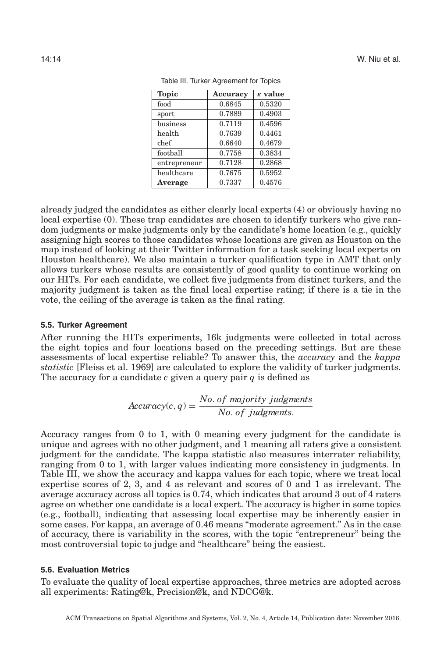<span id="page-13-0"></span>

| <b>Topic</b> | Accuracy | $\kappa$ value |
|--------------|----------|----------------|
| food         | 0.6845   | 0.5320         |
| sport        | 0.7889   | 0.4903         |
| business     | 0.7119   | 0.4596         |
| health       | 0.7639   | 0.4461         |
| chef         | 0.6640   | 0.4679         |
| football     | 0.7758   | 0.3834         |
| entrepreneur | 0.7128   | 0.2868         |
| healthcare   | 0.7675   | 0.5952         |
| Average      | 0.7337   | 0.4576         |

Table III. Turker Agreement for Topics

already judged the candidates as either clearly local experts (4) or obviously having no local expertise (0). These trap candidates are chosen to identify turkers who give random judgments or make judgments only by the candidate's home location (e.g., quickly assigning high scores to those candidates whose locations are given as Houston on the map instead of looking at their Twitter information for a task seeking local experts on Houston healthcare). We also maintain a turker qualification type in AMT that only allows turkers whose results are consistently of good quality to continue working on our HITs. For each candidate, we collect five judgments from distinct turkers, and the majority judgment is taken as the final local expertise rating; if there is a tie in the vote, the ceiling of the average is taken as the final rating.

## **5.5. Turker Agreement**

After running the HITs experiments, 16k judgments were collected in total across the eight topics and four locations based on the preceding settings. But are these assessments of local expertise reliable? To answer this, the *accuracy* and the *kappa statistic* [Fleiss et al. [1969\]](#page-22-17) are calculated to explore the validity of turker judgments. The accuracy for a candidate *c* given a query pair *q* is defined as

$$
Accuracy(c, q) = \frac{No. \text{ of majority judgments}}{No. \text{ of judgments.}}
$$

Accuracy ranges from 0 to 1, with 0 meaning every judgment for the candidate is unique and agrees with no other judgment, and 1 meaning all raters give a consistent judgment for the candidate. The kappa statistic also measures interrater reliability, ranging from 0 to 1, with larger values indicating more consistency in judgments. In Table [III,](#page-13-0) we show the accuracy and kappa values for each topic, where we treat local expertise scores of 2, 3, and 4 as relevant and scores of 0 and 1 as irrelevant. The average accuracy across all topics is 0.74, which indicates that around 3 out of 4 raters agree on whether one candidate is a local expert. The accuracy is higher in some topics (e.g., football), indicating that assessing local expertise may be inherently easier in some cases. For kappa, an average of 0.46 means "moderate agreement." As in the case of accuracy, there is variability in the scores, with the topic "entrepreneur" being the most controversial topic to judge and "healthcare" being the easiest.

## **5.6. Evaluation Metrics**

To evaluate the quality of local expertise approaches, three metrics are adopted across all experiments: Rating@k, Precision@k, and NDCG@k.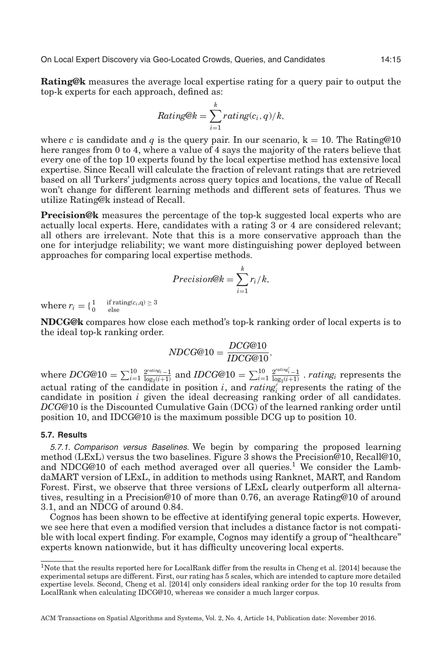**Rating@k** measures the average local expertise rating for a query pair to output the top-k experts for each approach, defined as:

$$
Rating@k = \sum_{i=1}^{k} rating(c_i, q)/k,
$$

where *c* is candidate and *q* is the query pair. In our scenario,  $k = 10$ . The Rating@10 here ranges from 0 to 4, where a value of 4 says the majority of the raters believe that every one of the top 10 experts found by the local expertise method has extensive local expertise. Since Recall will calculate the fraction of relevant ratings that are retrieved based on all Turkers' judgments across query topics and locations, the value of Recall won't change for different learning methods and different sets of features. Thus we utilize Rating@k instead of Recall.

**Precision@k** measures the percentage of the top-k suggested local experts who are actually local experts. Here, candidates with a rating 3 or 4 are considered relevant; all others are irrelevant. Note that this is a more conservative approach than the one for interjudge reliability; we want more distinguishing power deployed between approaches for comparing local expertise methods.

$$
Precision@k = \sum_{i=1}^{k} r_i / k,
$$

where  $r_i = \begin{cases} 1 & \text{if rating}(c_i, q) \geq 3 \\ 0 & \text{else} \end{cases}$ 

**NDCG@k** compares how close each method's top-k ranking order of local experts is to the ideal top-k ranking order.

$$
NDCG@10 = \frac{DCG@10}{IDCG@10},
$$

where  $DCG@10 = \sum_{i=1}^{10} \frac{2^{rating_i}-1}{\log_2(i+1)}$  and  $IDCG@10 = \sum_{i=1}^{10} \frac{2^{rating'_i}-1}{\log_2(i+1)}$  *. rating<sub>i</sub>* represents the actual rating of the candidate in position  $i$ , and  $rating_i^{\prime}$  represents the rating of the candidate in position *i* given the ideal decreasing ranking order of all candidates. *DCG*@10 is the Discounted Cumulative Gain (DCG) of the learned ranking order until position 10, and IDCG@10 is the maximum possible DCG up to position 10.

#### **5.7. Results**

5.7.1. Comparison versus Baselines. We begin by comparing the proposed learning method (LExL) versus the two baselines. Figure [3](#page-15-0) shows the Precision@10, Recall@10, and NDCG@[1](#page-14-0)0 of each method averaged over all queries.<sup>1</sup> We consider the LambdaMART version of LExL, in addition to methods using Ranknet, MART, and Random Forest. First, we observe that three versions of LExL clearly outperform all alternatives, resulting in a Precision@10 of more than 0.76, an average Rating@10 of around 3.1, and an NDCG of around 0.84.

Cognos has been shown to be effective at identifying general topic experts. However, we see here that even a modified version that includes a distance factor is not compatible with local expert finding. For example, Cognos may identify a group of "healthcare" experts known nationwide, but it has difficulty uncovering local experts.

<span id="page-14-0"></span><sup>1</sup>Note that the results reported here for LocalRank differ from the results in Cheng et al. [\[2014\]](#page-22-8) because the experimental setups are different. First, our rating has 5 scales, which are intended to capture more detailed expertise levels. Second, Cheng et al. [\[2014\]](#page-22-8) only considers ideal ranking order for the top 10 results from LocalRank when calculating IDCG@10, whereas we consider a much larger corpus.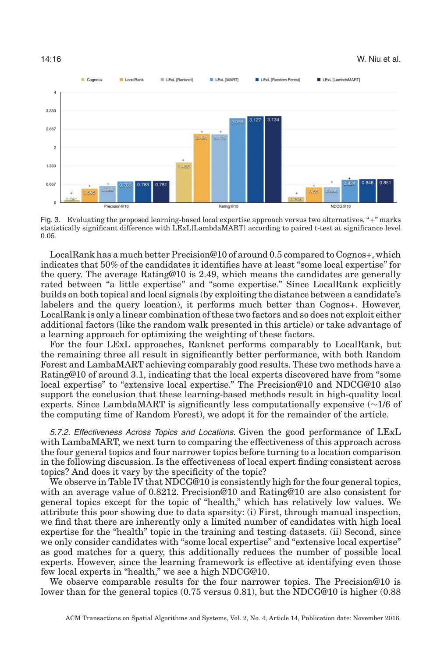<span id="page-15-0"></span>

Fig. 3. Evaluating the proposed learning-based local expertise approach versus two alternatives. "+" marks statistically significant difference with LExL[LambdaMART] according to paired t-test at significance level 0.05.

LocalRank has a much better Precision@10 of around 0.5 compared to Cognos+, which indicates that 50% of the candidates it identifies have at least "some local expertise" for the query. The average Rating@10 is 2.49, which means the candidates are generally rated between "a little expertise" and "some expertise." Since LocalRank explicitly builds on both topical and local signals (by exploiting the distance between a candidate's labelers and the query location), it performs much better than Cognos+. However, LocalRank is only a linear combination of these two factors and so does not exploit either additional factors (like the random walk presented in this article) or take advantage of a learning approach for optimizing the weighting of these factors.

For the four LExL approaches, Ranknet performs comparably to LocalRank, but the remaining three all result in significantly better performance, with both Random Forest and LambaMART achieving comparably good results. These two methods have a Rating@10 of around 3.1, indicating that the local experts discovered have from "some local expertise" to "extensive local expertise." The Precision@10 and NDCG@10 also support the conclusion that these learning-based methods result in high-quality local experts. Since LambdaMART is significantly less computationally expensive (∼1/6 of the computing time of Random Forest), we adopt it for the remainder of the article.

5.7.2. Effectiveness Across Topics and Locations. Given the good performance of LExL with LambaMART, we next turn to comparing the effectiveness of this approach across the four general topics and four narrower topics before turning to a location comparison in the following discussion. Is the effectiveness of local expert finding consistent across topics? And does it vary by the specificity of the topic?

We observe in Table [IV](#page-16-0) that NDCG@10 is consistently high for the four general topics, with an average value of 0.8212. Precision@10 and Rating@10 are also consistent for general topics except for the topic of "health," which has relatively low values. We attribute this poor showing due to data sparsity: (i) First, through manual inspection, we find that there are inherently only a limited number of candidates with high local expertise for the "health" topic in the training and testing datasets. (ii) Second, since we only consider candidates with "some local expertise" and "extensive local expertise" as good matches for a query, this additionally reduces the number of possible local experts. However, since the learning framework is effective at identifying even those few local experts in "health," we see a high NDCG@10.

We observe comparable results for the four narrower topics. The Precision@10 is lower than for the general topics (0.75 versus 0.81), but the NDCG@10 is higher (0.88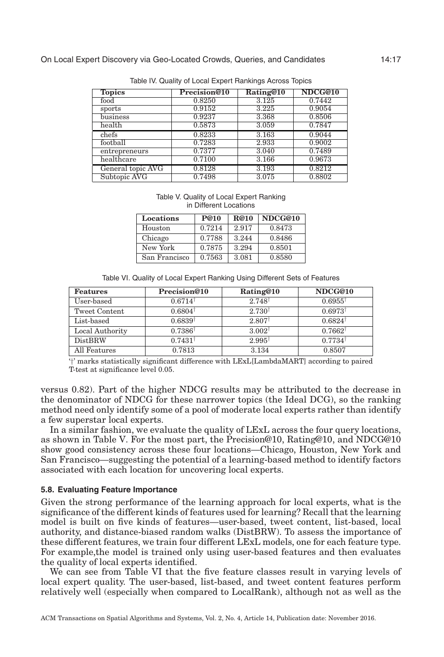<span id="page-16-0"></span>

| <b>Topics</b>     | Precision@10 | Rating@10 | NDCG@10 |
|-------------------|--------------|-----------|---------|
| food              | 0.8250       | 3.125     | 0.7442  |
| sports            | 0.9152       | 3.225     | 0.9054  |
| business          | 0.9237       | 3.368     | 0.8506  |
| health            | 0.5873       | 3.059     | 0.7847  |
| chefs             | 0.8233       | 3.163     | 0.9044  |
| football          | 0.7283       | 2.933     | 0.9002  |
| entrepreneurs     | 0.7377       | 3.040     | 0.7489  |
| healthcare        | 0.7100       | 3.166     | 0.9673  |
| General topic AVG | 0.8128       | 3.193     | 0.8212  |
| Subtopic AVG      | 0.7498       | 3.075     | 0.8802  |

Table IV. Quality of Local Expert Rankings Across Topics

Table V. Quality of Local Expert Ranking in Different Locations

| Locations     | P@10   | R@10  | NDCG@10 |
|---------------|--------|-------|---------|
| Houston       | 0.7214 | 2.917 | 0.8473  |
| Chicago       | 0.7788 | 3.244 | 0.8486  |
| New York      | 0.7875 | 3.294 | 0.8501  |
| San Francisco | 0.7563 | 3.081 | 0.8580  |

Table VI. Quality of Local Expert Ranking Using Different Sets of Features

<span id="page-16-2"></span><span id="page-16-1"></span>

| <b>Features</b>      | Precision@10       | Rating@10         | NDCG@10            |
|----------------------|--------------------|-------------------|--------------------|
| User-based           | $0.6714^{\dagger}$ | $2.748^{\dagger}$ | $0.6955^{\dagger}$ |
| <b>Tweet Content</b> | $0.6804^{\dagger}$ | $2.730^{\dagger}$ | $0.6973^{\dagger}$ |
| List-based           | $0.6839^{\dagger}$ | $2.807^{\dagger}$ | $0.6824^{\dagger}$ |
| Local Authority      | $0.7386^{\dagger}$ | $3.002^{\dagger}$ | $0.7662^{\dagger}$ |
| <b>DistBRW</b>       | $0.7431^{\dagger}$ | $2.995^{\dagger}$ | $0.7734^{\dagger}$ |
| All Features         | 0.7813             | 3.134             | 0.8507             |

'†' marks statistically significant difference with LExL[LambdaMART] according to paired T-test at significance level 0.05.

versus 0.82). Part of the higher NDCG results may be attributed to the decrease in the denominator of NDCG for these narrower topics (the Ideal DCG), so the ranking method need only identify some of a pool of moderate local experts rather than identify a few superstar local experts.

In a similar fashion, we evaluate the quality of LExL across the four query locations, as shown in Table [V.](#page-16-1) For the most part, the Precision@10, Rating@10, and NDCG@10 show good consistency across these four locations—Chicago, Houston, New York and San Francisco—suggesting the potential of a learning-based method to identify factors associated with each location for uncovering local experts.

#### **5.8. Evaluating Feature Importance**

Given the strong performance of the learning approach for local experts, what is the significance of the different kinds of features used for learning? Recall that the learning model is built on five kinds of features—user-based, tweet content, list-based, local authority, and distance-biased random walks (DistBRW). To assess the importance of these different features, we train four different LExL models, one for each feature type. For example,the model is trained only using user-based features and then evaluates the quality of local experts identified.

We can see from Table [VI](#page-16-2) that the five feature classes result in varying levels of local expert quality. The user-based, list-based, and tweet content features perform relatively well (especially when compared to LocalRank), although not as well as the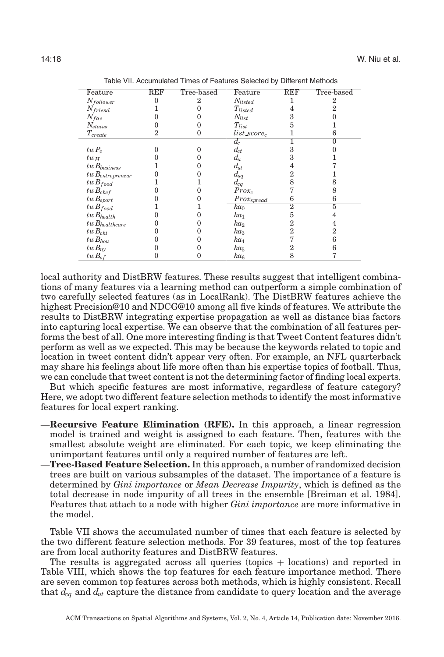<span id="page-17-0"></span>

| Feature                          | <b>REF</b>     | Tree-based | Feature                 | REF            | Tree-based     |
|----------------------------------|----------------|------------|-------------------------|----------------|----------------|
| $N_{follower}$                   |                | 2          | $\overline{N_{listed}}$ |                | 2              |
| $N_{friend}$                     |                |            | $T_{listed}$            | 4              | 2              |
| $N_{\it fav}$                    |                |            | $N_{list}$              | 3              |                |
| $N_{status}$                     |                |            | $T_{list}$              | 5              |                |
| $T_{\it create}$                 | $\overline{2}$ | 0          | $list\_score_c$         |                | 6              |
|                                  |                |            | $d_c$                   |                |                |
| $twP_c$                          |                |            | $d_{ct}$                | 3              |                |
| $tw_H$                           |                |            | $d_u$                   | 3              |                |
| $twB_{business}$                 |                |            | $d_{ut}$                | 4              |                |
| $twB_{entrepreneur}$             |                |            | $d_{uq}$                | 2              |                |
| $\mathit{twB}_{\mathit{food}}$   |                |            | $d_{cq}$                | 8              | 8              |
| $twB_{chef}$                     |                |            | $Prox_c$                |                | 8              |
| $tw\mathcal{B}_{sport}$          |                |            | $Prox_{spread}$         | 6              | 6              |
| $twB_{food}$                     |                |            | ha <sub>0</sub>         | $\overline{2}$ | 5              |
| $\mathit{twB}_{\mathit{health}}$ |                |            | $ha_1$                  | 5              |                |
| $twB_{\it{healthcare}}$          |                |            | $ha_2$                  | 2              | 4              |
| $twB_{chi}$                      |                |            | $ha_3$                  | $\overline{2}$ | $\overline{2}$ |
| $\mathit{twB}_{hou}$             |                |            | $ha_4$                  |                | 6              |
| $twB_{nv}$                       |                |            | $ha_5$                  | 2              | 6              |
| $twB_{sf}$                       |                |            | $ha_6$                  | 8              |                |

Table VII. Accumulated Times of Features Selected by Different Methods

local authority and DistBRW features. These results suggest that intelligent combinations of many features via a learning method can outperform a simple combination of two carefully selected features (as in LocalRank). The DistBRW features achieve the highest Precision@10 and NDCG@10 among all five kinds of features. We attribute the results to DistBRW integrating expertise propagation as well as distance bias factors into capturing local expertise. We can observe that the combination of all features performs the best of all. One more interesting finding is that Tweet Content features didn't perform as well as we expected. This may be because the keywords related to topic and location in tweet content didn't appear very often. For example, an NFL quarterback may share his feelings about life more often than his expertise topics of football. Thus, we can conclude that tweet content is not the determining factor of finding local experts.

But which specific features are most informative, regardless of feature category? Here, we adopt two different feature selection methods to identify the most informative features for local expert ranking.

- —**Recursive Feature Elimination (RFE).** In this approach, a linear regression model is trained and weight is assigned to each feature. Then, features with the smallest absolute weight are eliminated. For each topic, we keep eliminating the unimportant features until only a required number of features are left.
- —**Tree-Based Feature Selection.** In this approach, a number of randomized decision trees are built on various subsamples of the dataset. The importance of a feature is determined by *Gini importance* or *Mean Decrease Impurity*, which is defined as the total decrease in node impurity of all trees in the ensemble [Breiman et al. [1984\]](#page-22-18). Features that attach to a node with higher *Gini importance* are more informative in the model.

Table [VII](#page-17-0) shows the accumulated number of times that each feature is selected by the two different feature selection methods. For 39 features, most of the top features are from local authority features and DistBRW features.

The results is aggregated across all queries (topics + locations) and reported in Table [VIII,](#page-18-0) which shows the top features for each feature importance method. There are seven common top features across both methods, which is highly consistent. Recall that *dcq* and *dut* capture the distance from candidate to query location and the average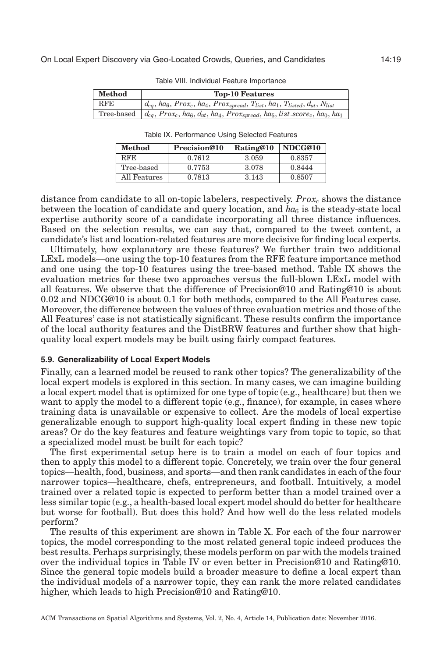<span id="page-18-0"></span>

| <b>Method</b>        | <b>Top-10 Features</b>                                                                                                                          |
|----------------------|-------------------------------------------------------------------------------------------------------------------------------------------------|
| $\operatorname{RFE}$ | $d_{cq}$ , ha <sub>6</sub> , $Prox_c$ , ha <sub>4</sub> , $Prox_{spread}$ , $T_{list}$ , ha <sub>1</sub> , $T_{listed}$ , $d_{ut}$ , $N_{list}$ |
| Tree-based           | $  d_{cq}, Prox_c, ha_6, d_{ut}, ha_4, Prox_{spread}, ha_5, list_score_c, ha_0, ha_1$                                                           |

Table VIII. Individual Feature Importance

|  | Table IX. Performance Using Selected Features |
|--|-----------------------------------------------|
|  |                                               |

| <b>Method</b> | Precision@10 | Rating@10 | NDCG@10 |
|---------------|--------------|-----------|---------|
| RFE.          | 0.7612       | 3.059     | 0.8357  |
| Tree-based    | 0.7753       | 3.078     | 0.8444  |
| All Features  | 0.7813       | 3.143     | 0.8507  |

<span id="page-18-1"></span>distance from candidate to all on-topic labelers, respectively.  $Prox_c$  shows the distance between the location of candidate and query location, and  $ha<sub>6</sub>$  is the steady-state local expertise authority score of a candidate incorporating all three distance influences. Based on the selection results, we can say that, compared to the tweet content, a candidate's list and location-related features are more decisive for finding local experts.

Ultimately, how explanatory are these features? We further train two additional LExL models—one using the top-10 features from the RFE feature importance method and one using the top-10 features using the tree-based method. Table [IX](#page-18-1) shows the evaluation metrics for these two approaches versus the full-blown LExL model with all features. We observe that the difference of Precision@10 and Rating@10 is about 0.02 and NDCG@10 is about 0.1 for both methods, compared to the All Features case. Moreover, the difference between the values of three evaluation metrics and those of the All Features' case is not statistically significant. These results confirm the importance of the local authority features and the DistBRW features and further show that highquality local expert models may be built using fairly compact features.

## **5.9. Generalizability of Local Expert Models**

Finally, can a learned model be reused to rank other topics? The generalizability of the local expert models is explored in this section. In many cases, we can imagine building a local expert model that is optimized for one type of topic (e.g., healthcare) but then we want to apply the model to a different topic (e.g., finance), for example, in cases where training data is unavailable or expensive to collect. Are the models of local expertise generalizable enough to support high-quality local expert finding in these new topic areas? Or do the key features and feature weightings vary from topic to topic, so that a specialized model must be built for each topic?

The first experimental setup here is to train a model on each of four topics and then to apply this model to a different topic. Concretely, we train over the four general topics—health, food, business, and sports—and then rank candidates in each of the four narrower topics—healthcare, chefs, entrepreneurs, and football. Intuitively, a model trained over a related topic is expected to perform better than a model trained over a less similar topic (e.g., a health-based local expert model should do better for healthcare but worse for football). But does this hold? And how well do the less related models perform?

The results of this experiment are shown in Table [X.](#page-19-0) For each of the four narrower topics, the model corresponding to the most related general topic indeed produces the best results. Perhaps surprisingly, these models perform on par with the models trained over the individual topics in Table [IV](#page-16-0) or even better in Precision@10 and Rating@10. Since the general topic models build a broader measure to define a local expert than the individual models of a narrower topic, they can rank the more related candidates higher, which leads to high Precision@10 and Rating@10.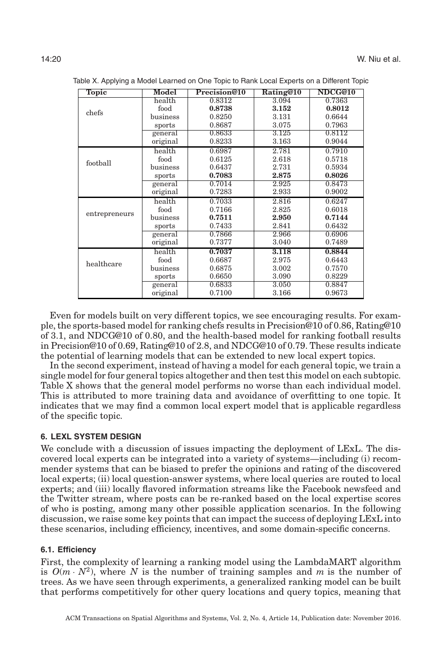| <b>Topic</b>  | <b>Model</b> | Precision@10 | Rating@10 | NDCG@10 |
|---------------|--------------|--------------|-----------|---------|
|               | health       | 0.8312       | 3.094     | 0.7363  |
| chefs         | food         | 0.8738       | 3.152     | 0.8012  |
|               | business     | 0.8250       | 3.131     | 0.6644  |
|               | sports       | 0.8687       | 3.075     | 0.7963  |
|               | general      | 0.8633       | 3.125     | 0.8112  |
|               | original     | 0.8233       | 3.163     | 0.9044  |
|               | health       | 0.6987       | 2.781     | 0.7910  |
| football      | food         | 0.6125       | 2.618     | 0.5718  |
|               | business     | 0.6437       | 2.731     | 0.5934  |
|               | sports       | 0.7083       | 2.875     | 0.8026  |
|               | general      | 0.7014       | 2.925     | 0.8473  |
|               | original     | 0.7283       | 2.933     | 0.9002  |
|               | health       | 0.7033       | 2.816     | 0.6247  |
|               | food         | 0.7166       | 2.825     | 0.6018  |
| entrepreneurs | business     | 0.7511       | 2.950     | 0.7144  |
|               | sports       | 0.7433       | 2.841     | 0.6432  |
|               | general      | 0.7866       | 2.966     | 0.6906  |
|               | original     | 0.7377       | 3.040     | 0.7489  |
|               | health       | 0.7037       | 3.118     | 0.8844  |
| healthcare    | food         | 0.6687       | 2.975     | 0.6443  |
|               | business     | 0.6875       | 3.002     | 0.7570  |
|               | sports       | 0.6650       | 3.090     | 0.8229  |
|               | general      | 0.6833       | 3.050     | 0.8847  |
|               | original     | 0.7100       | 3.166     | 0.9673  |

<span id="page-19-0"></span>Table X. Applying a Model Learned on One Topic to Rank Local Experts on a Different Topic

Even for models built on very different topics, we see encouraging results. For example, the sports-based model for ranking chefs results in Precision@10 of 0.86, Rating@10 of 3.1, and NDCG@10 of 0.80, and the health-based model for ranking football results in Precision@10 of 0.69, Rating@10 of 2.8, and NDCG@10 of 0.79. These results indicate the potential of learning models that can be extended to new local expert topics.

In the second experiment, instead of having a model for each general topic, we train a single model for four general topics altogether and then test this model on each subtopic. Table [X](#page-19-0) shows that the general model performs no worse than each individual model. This is attributed to more training data and avoidance of overfitting to one topic. It indicates that we may find a common local expert model that is applicable regardless of the specific topic.

## **6. LEXL SYSTEM DESIGN**

We conclude with a discussion of issues impacting the deployment of LExL. The discovered local experts can be integrated into a variety of systems—including (i) recommender systems that can be biased to prefer the opinions and rating of the discovered local experts; (ii) local question-answer systems, where local queries are routed to local experts; and (iii) locally flavored information streams like the Facebook newsfeed and the Twitter stream, where posts can be re-ranked based on the local expertise scores of who is posting, among many other possible application scenarios. In the following discussion, we raise some key points that can impact the success of deploying LExL into these scenarios, including efficiency, incentives, and some domain-specific concerns.

## **6.1. Efficiency**

First, the complexity of learning a ranking model using the LambdaMART algorithm is  $O(m \cdot N^2)$ , where N is the number of training samples and m is the number of trees. As we have seen through experiments, a generalized ranking model can be built that performs competitively for other query locations and query topics, meaning that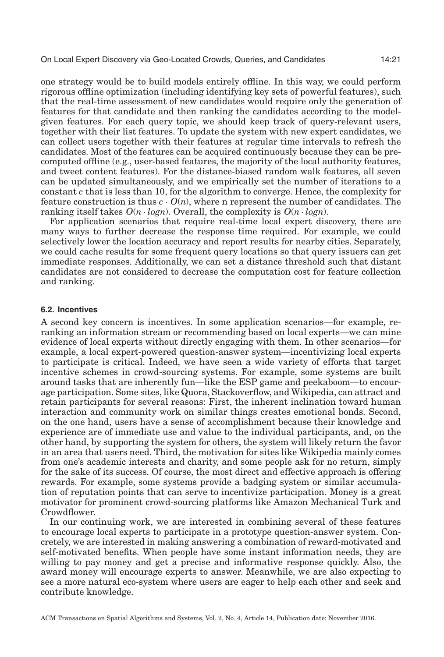one strategy would be to build models entirely offline. In this way, we could perform rigorous offline optimization (including identifying key sets of powerful features), such that the real-time assessment of new candidates would require only the generation of features for that candidate and then ranking the candidates according to the modelgiven features. For each query topic, we should keep track of query-relevant users, together with their list features. To update the system with new expert candidates, we can collect users together with their features at regular time intervals to refresh the candidates. Most of the features can be acquired continuously because they can be precomputed offline (e.g., user-based features, the majority of the local authority features, and tweet content features). For the distance-biased random walk features, all seven can be updated simultaneously, and we empirically set the number of iterations to a constant *c* that is less than 10, for the algorithm to converge. Hence, the complexity for feature construction is thus  $c \cdot O(n)$ , where n represent the number of candidates. The ranking itself takes  $O(n \cdot log n)$ . Overall, the complexity is  $O(n \cdot log n)$ .

For application scenarios that require real-time local expert discovery, there are many ways to further decrease the response time required. For example, we could selectively lower the location accuracy and report results for nearby cities. Separately, we could cache results for some frequent query locations so that query issuers can get immediate responses. Additionally, we can set a distance threshold such that distant candidates are not considered to decrease the computation cost for feature collection and ranking.

#### **6.2. Incentives**

A second key concern is incentives. In some application scenarios—for example, reranking an information stream or recommending based on local experts—we can mine evidence of local experts without directly engaging with them. In other scenarios—for example, a local expert-powered question-answer system—incentivizing local experts to participate is critical. Indeed, we have seen a wide variety of efforts that target incentive schemes in crowd-sourcing systems. For example, some systems are built around tasks that are inherently fun—like the ESP game and peekaboom—to encourage participation. Some sites, like Quora, Stackoverflow, and Wikipedia, can attract and retain participants for several reasons: First, the inherent inclination toward human interaction and community work on similar things creates emotional bonds. Second, on the one hand, users have a sense of accomplishment because their knowledge and experience are of immediate use and value to the individual participants, and, on the other hand, by supporting the system for others, the system will likely return the favor in an area that users need. Third, the motivation for sites like Wikipedia mainly comes from one's academic interests and charity, and some people ask for no return, simply for the sake of its success. Of course, the most direct and effective approach is offering rewards. For example, some systems provide a badging system or similar accumulation of reputation points that can serve to incentivize participation. Money is a great motivator for prominent crowd-sourcing platforms like Amazon Mechanical Turk and Crowdflower.

In our continuing work, we are interested in combining several of these features to encourage local experts to participate in a prototype question-answer system. Concretely, we are interested in making answering a combination of reward-motivated and self-motivated benefits. When people have some instant information needs, they are willing to pay money and get a precise and informative response quickly. Also, the award money will encourage experts to answer. Meanwhile, we are also expecting to see a more natural eco-system where users are eager to help each other and seek and contribute knowledge.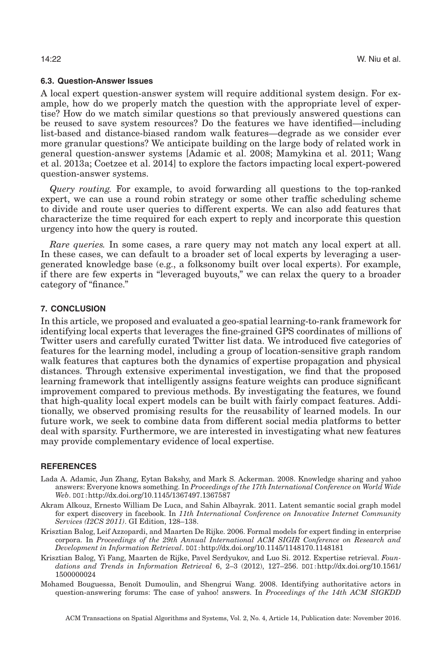#### **6.3. Question-Answer Issues**

A local expert question-answer system will require additional system design. For example, how do we properly match the question with the appropriate level of expertise? How do we match similar questions so that previously answered questions can be reused to save system resources? Do the features we have identified—including list-based and distance-biased random walk features—degrade as we consider ever more granular questions? We anticipate building on the large body of related work in general question-answer systems [Adamic et al. [2008;](#page-21-4) Mamykina et al. [2011;](#page-23-13) Wang et al. [2013a;](#page-23-14) Coetzee et al. [2014\]](#page-22-19) to explore the factors impacting local expert-powered question-answer systems.

*Query routing.* For example, to avoid forwarding all questions to the top-ranked expert, we can use a round robin strategy or some other traffic scheduling scheme to divide and route user queries to different experts. We can also add features that characterize the time required for each expert to reply and incorporate this question urgency into how the query is routed.

*Rare queries.* In some cases, a rare query may not match any local expert at all. In these cases, we can default to a broader set of local experts by leveraging a usergenerated knowledge base (e.g., a folksonomy built over local experts). For example, if there are few experts in "leveraged buyouts," we can relax the query to a broader category of "finance."

#### **7. CONCLUSION**

In this article, we proposed and evaluated a geo-spatial learning-to-rank framework for identifying local experts that leverages the fine-grained GPS coordinates of millions of Twitter users and carefully curated Twitter list data. We introduced five categories of features for the learning model, including a group of location-sensitive graph random walk features that captures both the dynamics of expertise propagation and physical distances. Through extensive experimental investigation, we find that the proposed learning framework that intelligently assigns feature weights can produce significant improvement compared to previous methods. By investigating the features, we found that high-quality local expert models can be built with fairly compact features. Additionally, we observed promising results for the reusability of learned models. In our future work, we seek to combine data from different social media platforms to better deal with sparsity. Furthermore, we are interested in investigating what new features may provide complementary evidence of local expertise.

#### **REFERENCES**

- <span id="page-21-4"></span>Lada A. Adamic, Jun Zhang, Eytan Bakshy, and Mark S. Ackerman. 2008. Knowledge sharing and yahoo answers: Everyone knows something. In *Proceedings of the 17th International Conference on World Wide Web*. DOI:<http://dx.doi.org/10.1145/1367497.1367587>
- <span id="page-21-3"></span>Akram Alkouz, Ernesto William De Luca, and Sahin Albayrak. 2011. Latent semantic social graph model for expert discovery in facebook. In *11th International Conference on Innovative Internet Community Services (I2CS 2011)*. GI Edition, 128–138.
- <span id="page-21-0"></span>Krisztian Balog, Leif Azzopardi, and Maarten De Rijke. 2006. Formal models for expert finding in enterprise corpora. In *Proceedings of the 29th Annual International ACM SIGIR Conference on Research and Development in Information Retrieval*. DOI:<http://dx.doi.org/10.1145/1148170.1148181>
- <span id="page-21-1"></span>Krisztian Balog, Yi Fang, Maarten de Rijke, Pavel Serdyukov, and Luo Si. 2012. Expertise retrieval. *Foundations and Trends in Information Retrieval* 6, 2–3 (2012), 127–256. DOI:[http://dx.doi.org/10.1561/](http://dx.doi.org/10.1561/1500000024) [1500000024](http://dx.doi.org/10.1561/1500000024)
- <span id="page-21-2"></span>Mohamed Bouguessa, Benoît Dumoulin, and Shengrui Wang. 2008. Identifying authoritative actors in question-answering forums: The case of yahoo! answers. In *Proceedings of the 14th ACM SIGKDD*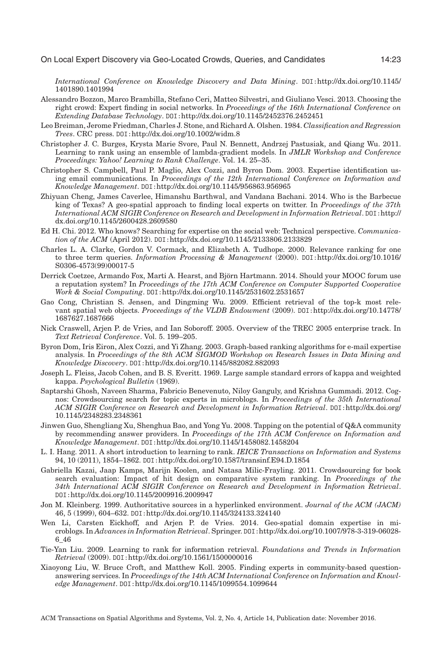*International Conference on Knowledge Discovery and Data Mining*. DOI:[http://dx.doi.org/10.1145/](http://dx.doi.org/10.1145/1401890.1401994) [1401890.1401994](http://dx.doi.org/10.1145/1401890.1401994)

- <span id="page-22-7"></span>Alessandro Bozzon, Marco Brambilla, Stefano Ceri, Matteo Silvestri, and Giuliano Vesci. 2013. Choosing the right crowd: Expert finding in social networks. In *Proceedings of the 16th International Conference on Extending Database Technology*. DOI:<http://dx.doi.org/10.1145/2452376.2452451>
- <span id="page-22-18"></span>Leo Breiman, Jerome Friedman, Charles J. Stone, and Richard A. Olshen. 1984. *Classification and Regression Trees*. CRC press. DOI:<http://dx.doi.org/10.1002/widm.8>
- <span id="page-22-13"></span>Christopher J. C. Burges, Krysta Marie Svore, Paul N. Bennett, Andrzej Pastusiak, and Qiang Wu. 2011. Learning to rank using an ensemble of lambda-gradient models. In *JMLR Workshop and Conference Proceedings: Yahoo! Learning to Rank Challenge*. Vol. 14. 25–35.
- <span id="page-22-0"></span>Christopher S. Campbell, Paul P. Maglio, Alex Cozzi, and Byron Dom. 2003. Expertise identification using email communications. In *Proceedings of the 12th International Conference on Information and Knowledge Management*. DOI:<http://dx.doi.org/10.1145/956863.956965>
- <span id="page-22-8"></span>Zhiyuan Cheng, James Caverlee, Himanshu Barthwal, and Vandana Bachani. 2014. Who is the Barbecue king of Texas? A geo-spatial approach to finding local experts on twitter. In *Proceedings of the 37th International ACM SIGIR Conference on Research and Development in Information Retrieval*. DOI:[http://](http://dx.doi.org/10.1145/2600428.2609580) [dx.doi.org/10.1145/2600428.2609580](http://dx.doi.org/10.1145/2600428.2609580)
- <span id="page-22-1"></span>Ed H. Chi. 2012. Who knows? Searching for expertise on the social web: Technical perspective. *Communication of the ACM* (April 2012). DOI:<http://dx.doi.org/10.1145/2133806.2133829>
- <span id="page-22-15"></span>Charles L. A. Clarke, Gordon V. Cormack, and Elizabeth A. Tudhope. 2000. Relevance ranking for one to three term queries. *Information Processing & Management* (2000). DOI:[http://dx.doi.org/10.1016/](http://dx.doi.org/10.1016/S0306-4573(99)00017-5) [S0306-4573\(99\)00017-5](http://dx.doi.org/10.1016/S0306-4573(99)00017-5)
- <span id="page-22-19"></span>Derrick Coetzee, Armando Fox, Marti A. Hearst, and Bjorn Hartmann. 2014. Should your MOOC forum use ¨ a reputation system? In *Proceedings of the 17th ACM Conference on Computer Supported Cooperative Work & Social Computing*. DOI:<http://dx.doi.org/10.1145/2531602.2531657>
- <span id="page-22-10"></span>Gao Cong, Christian S. Jensen, and Dingming Wu. 2009. Efficient retrieval of the top-k most relevant spatial web objects. *Proceedings of the VLDB Endowment* (2009). DOI:[http://dx.doi.org/10.14778/](http://dx.doi.org/10.14778/1687627.1687666) [1687627.1687666](http://dx.doi.org/10.14778/1687627.1687666)
- <span id="page-22-4"></span>Nick Craswell, Arjen P. de Vries, and Ian Soboroff. 2005. Overview of the TREC 2005 enterprise track. In *Text Retrieval Conference*. Vol. 5. 199–205.
- <span id="page-22-6"></span>Byron Dom, Iris Eiron, Alex Cozzi, and Yi Zhang. 2003. Graph-based ranking algorithms for e-mail expertise analysis. In *Proceedings of the 8th ACM SIGMOD Workshop on Research Issues in Data Mining and Knowledge Discovery*. DOI:<http://dx.doi.org/10.1145/882082.882093>
- <span id="page-22-17"></span>Joseph L. Fleiss, Jacob Cohen, and B. S. Everitt. 1969. Large sample standard errors of kappa and weighted kappa. *Psychological Bulletin* (1969).
- <span id="page-22-2"></span>Saptarshi Ghosh, Naveen Sharma, Fabricio Benevenuto, Niloy Ganguly, and Krishna Gummadi. 2012. Cognos: Crowdsourcing search for topic experts in microblogs. In *Proceedings of the 35th International ACM SIGIR Conference on Research and Development in Information Retrieval*. DOI:[http://dx.doi.org/](http://dx.doi.org/10.1145/2348283.2348361) [10.1145/2348283.2348361](http://dx.doi.org/10.1145/2348283.2348361)
- <span id="page-22-5"></span>Jinwen Guo, Shengliang Xu, Shenghua Bao, and Yong Yu. 2008. Tapping on the potential of Q&A community by recommending answer providers. In *Proceedings of the 17th ACM Conference on Information and Knowledge Management*. DOI:<http://dx.doi.org/10.1145/1458082.1458204>
- <span id="page-22-12"></span>L. I. Hang. 2011. A short introduction to learning to rank. *IEICE Transactions on Information and Systems* 94, 10 (2011), 1854–1862. DOI:<http://dx.doi.org/10.1587/transinf.E94.D.1854>
- <span id="page-22-16"></span>Gabriella Kazai, Jaap Kamps, Marijn Koolen, and Natasa Milic-Frayling. 2011. Crowdsourcing for book search evaluation: Impact of hit design on comparative system ranking. In *Proceedings of the 34th International ACM SIGIR Conference on Research and Development in Information Retrieval*. DOI:<http://dx.doi.org/10.1145/2009916.2009947>
- <span id="page-22-14"></span>Jon M. Kleinberg. 1999. Authoritative sources in a hyperlinked environment. *Journal of the ACM (JACM)* 46, 5 (1999), 604–632. DOI:<http://dx.doi.org/10.1145/324133.324140>
- <span id="page-22-9"></span>Wen Li, Carsten Eickhoff, and Arjen P. de Vries. 2014. Geo-spatial domain expertise in microblogs. In *Advances in Information Retrieval*. Springer. DOI:[http://dx.doi.org/10.1007/978-3-319-06028-](http://dx.doi.org/10.1007/978-3-319-06028-646) [6\\_46](http://dx.doi.org/10.1007/978-3-319-06028-646)
- <span id="page-22-11"></span>Tie-Yan Liu. 2009. Learning to rank for information retrieval. *Foundations and Trends in Information Retrieval* (2009). DOI:<http://dx.doi.org/10.1561/1500000016>
- <span id="page-22-3"></span>Xiaoyong Liu, W. Bruce Croft, and Matthew Koll. 2005. Finding experts in community-based questionanswering services. In *Proceedings of the 14th ACM International Conference on Information and Knowledge Management*. DOI:<http://dx.doi.org/10.1145/1099554.1099644>